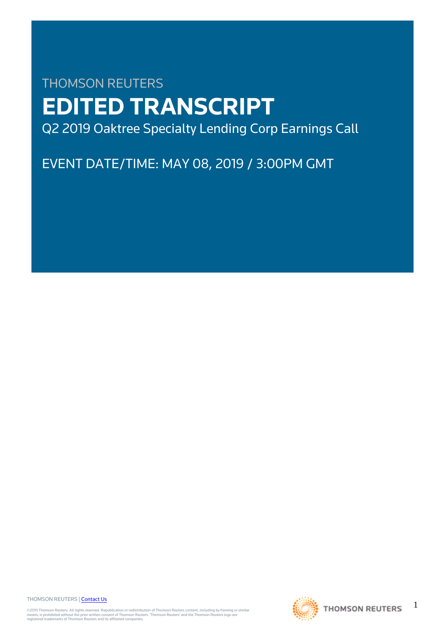# THOMSON REUTERS **EDITED TRANSCRIPT** Q2 2019 Oaktree Specialty Lending Corp Earnings Call

EVENT DATE/TIME: MAY 08, 2019 / 3:00PM GMT

THOMSON REUTERS | [Contact Us](https://my.thomsonreuters.com/ContactUsNew)

©2019 Thomson Reuters. All rights reserved. Republication or redistribution of Thomson Reuters content, including by framing or similar<br>means, is prohibited without the prior written consent of Thomson Reuters. "Thomson Re



1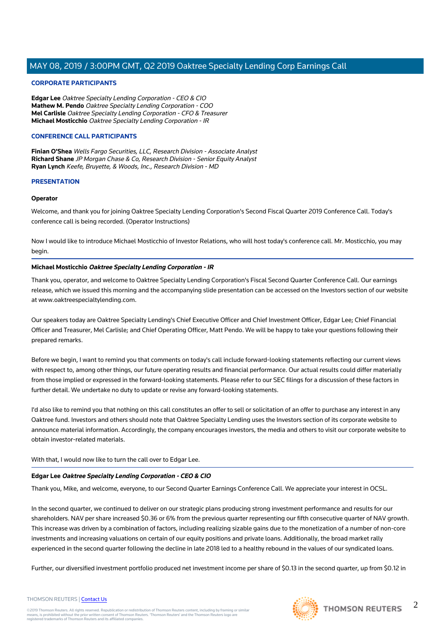## **CORPORATE PARTICIPANTS**

**Edgar Lee** Oaktree Specialty Lending Corporation - CEO & CIO **Mathew M. Pendo** Oaktree Specialty Lending Corporation - COO **Mel Carlisle** Oaktree Specialty Lending Corporation - CFO & Treasurer **Michael Mosticchio** Oaktree Specialty Lending Corporation - IR

#### **CONFERENCE CALL PARTICIPANTS**

**Finian O'Shea** Wells Fargo Securities, LLC, Research Division - Associate Analyst **Richard Shane** JP Morgan Chase & Co, Research Division - Senior Equity Analyst **Ryan Lynch** Keefe, Bruyette, & Woods, Inc., Research Division - MD

#### **PRESENTATION**

#### **Operator**

Welcome, and thank you for joining Oaktree Specialty Lending Corporation's Second Fiscal Quarter 2019 Conference Call. Today's conference call is being recorded. (Operator Instructions)

Now I would like to introduce Michael Mosticchio of Investor Relations, who will host today's conference call. Mr. Mosticchio, you may begin.

## **Michael Mosticchio Oaktree Specialty Lending Corporation - IR**

Thank you, operator, and welcome to Oaktree Specialty Lending Corporation's Fiscal Second Quarter Conference Call. Our earnings release, which we issued this morning and the accompanying slide presentation can be accessed on the Investors section of our website at www.oaktreespecialtylending.com.

Our speakers today are Oaktree Specialty Lending's Chief Executive Officer and Chief Investment Officer, Edgar Lee; Chief Financial Officer and Treasurer, Mel Carlisle; and Chief Operating Officer, Matt Pendo. We will be happy to take your questions following their prepared remarks.

Before we begin, I want to remind you that comments on today's call include forward-looking statements reflecting our current views with respect to, among other things, our future operating results and financial performance. Our actual results could differ materially from those implied or expressed in the forward-looking statements. Please refer to our SEC filings for a discussion of these factors in further detail. We undertake no duty to update or revise any forward-looking statements.

I'd also like to remind you that nothing on this call constitutes an offer to sell or solicitation of an offer to purchase any interest in any Oaktree fund. Investors and others should note that Oaktree Specialty Lending uses the Investors section of its corporate website to announce material information. Accordingly, the company encourages investors, the media and others to visit our corporate website to obtain investor-related materials.

With that, I would now like to turn the call over to Edgar Lee.

#### **Edgar Lee Oaktree Specialty Lending Corporation - CEO & CIO**

Thank you, Mike, and welcome, everyone, to our Second Quarter Earnings Conference Call. We appreciate your interest in OCSL.

In the second quarter, we continued to deliver on our strategic plans producing strong investment performance and results for our shareholders. NAV per share increased \$0.36 or 6% from the previous quarter representing our fifth consecutive quarter of NAV growth. This increase was driven by a combination of factors, including realizing sizable gains due to the monetization of a number of non-core investments and increasing valuations on certain of our equity positions and private loans. Additionally, the broad market rally experienced in the second quarter following the decline in late 2018 led to a healthy rebound in the values of our syndicated loans.

Further, our diversified investment portfolio produced net investment income per share of \$0.13 in the second quarter, up from \$0.12 in



 $\mathfrak{D}$ 

#### THOMSON REUTERS | [Contact Us](https://my.thomsonreuters.com/ContactUsNew)

©2019 Thomson Reuters. All rights reserved. Republication or redistribution of Thomson Reuters content, including by framing or similar<br>means, is prohibited without the prior written consent of Thomson Reuters. "Thomson Re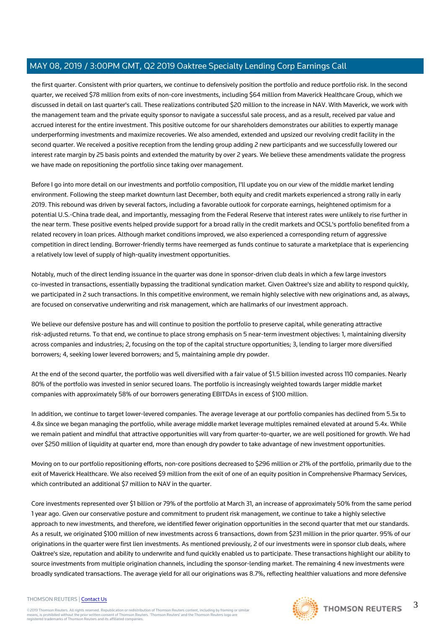the first quarter. Consistent with prior quarters, we continue to defensively position the portfolio and reduce portfolio risk. In the second quarter, we received \$78 million from exits of non-core investments, including \$64 million from Maverick Healthcare Group, which we discussed in detail on last quarter's call. These realizations contributed \$20 million to the increase in NAV. With Maverick, we work with the management team and the private equity sponsor to navigate a successful sale process, and as a result, received par value and accrued interest for the entire investment. This positive outcome for our shareholders demonstrates our abilities to expertly manage underperforming investments and maximize recoveries. We also amended, extended and upsized our revolving credit facility in the second quarter. We received a positive reception from the lending group adding 2 new participants and we successfully lowered our interest rate margin by 25 basis points and extended the maturity by over 2 years. We believe these amendments validate the progress we have made on repositioning the portfolio since taking over management.

Before I go into more detail on our investments and portfolio composition, I'll update you on our view of the middle market lending environment. Following the steep market downturn last December, both equity and credit markets experienced a strong rally in early 2019. This rebound was driven by several factors, including a favorable outlook for corporate earnings, heightened optimism for a potential U.S.-China trade deal, and importantly, messaging from the Federal Reserve that interest rates were unlikely to rise further in the near term. These positive events helped provide support for a broad rally in the credit markets and OCSL's portfolio benefited from a related recovery in loan prices. Although market conditions improved, we also experienced a corresponding return of aggressive competition in direct lending. Borrower-friendly terms have reemerged as funds continue to saturate a marketplace that is experiencing a relatively low level of supply of high-quality investment opportunities.

Notably, much of the direct lending issuance in the quarter was done in sponsor-driven club deals in which a few large investors co-invested in transactions, essentially bypassing the traditional syndication market. Given Oaktree's size and ability to respond quickly, we participated in 2 such transactions. In this competitive environment, we remain highly selective with new originations and, as always, are focused on conservative underwriting and risk management, which are hallmarks of our investment approach.

We believe our defensive posture has and will continue to position the portfolio to preserve capital, while generating attractive risk-adjusted returns. To that end, we continue to place strong emphasis on 5 near-term investment objectives: 1, maintaining diversity across companies and industries; 2, focusing on the top of the capital structure opportunities; 3, lending to larger more diversified borrowers; 4, seeking lower levered borrowers; and 5, maintaining ample dry powder.

At the end of the second quarter, the portfolio was well diversified with a fair value of \$1.5 billion invested across 110 companies. Nearly 80% of the portfolio was invested in senior secured loans. The portfolio is increasingly weighted towards larger middle market companies with approximately 58% of our borrowers generating EBITDAs in excess of \$100 million.

In addition, we continue to target lower-levered companies. The average leverage at our portfolio companies has declined from 5.5x to 4.8x since we began managing the portfolio, while average middle market leverage multiples remained elevated at around 5.4x. While we remain patient and mindful that attractive opportunities will vary from quarter-to-quarter, we are well positioned for growth. We had over \$250 million of liquidity at quarter end, more than enough dry powder to take advantage of new investment opportunities.

Moving on to our portfolio repositioning efforts, non-core positions decreased to \$296 million or 21% of the portfolio, primarily due to the exit of Maverick Healthcare. We also received \$9 million from the exit of one of an equity position in Comprehensive Pharmacy Services, which contributed an additional \$7 million to NAV in the quarter.

Core investments represented over \$1 billion or 79% of the portfolio at March 31, an increase of approximately 50% from the same period 1 year ago. Given our conservative posture and commitment to prudent risk management, we continue to take a highly selective approach to new investments, and therefore, we identified fewer origination opportunities in the second quarter that met our standards. As a result, we originated \$100 million of new investments across 6 transactions, down from \$231 million in the prior quarter. 95% of our originations in the quarter were first lien investments. As mentioned previously, 2 of our investments were in sponsor club deals, where Oaktree's size, reputation and ability to underwrite and fund quickly enabled us to participate. These transactions highlight our ability to source investments from multiple origination channels, including the sponsor-lending market. The remaining 4 new investments were broadly syndicated transactions. The average yield for all our originations was 8.7%, reflecting healthier valuations and more defensive

#### THOMSON REUTERS | [Contact Us](https://my.thomsonreuters.com/ContactUsNew)

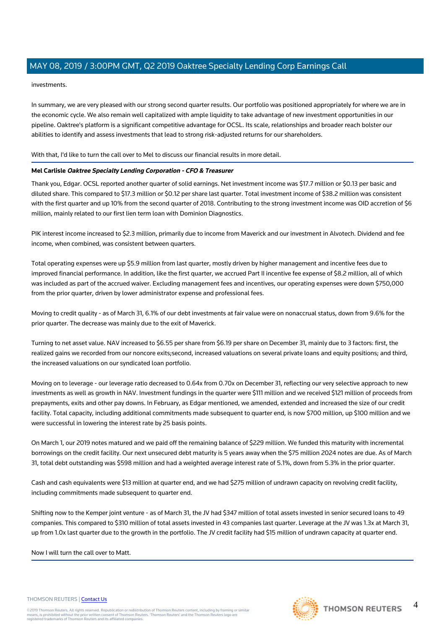## investments.

In summary, we are very pleased with our strong second quarter results. Our portfolio was positioned appropriately for where we are in the economic cycle. We also remain well capitalized with ample liquidity to take advantage of new investment opportunities in our pipeline. Oaktree's platform is a significant competitive advantage for OCSL. Its scale, relationships and broader reach bolster our abilities to identify and assess investments that lead to strong risk-adjusted returns for our shareholders.

## With that, I'd like to turn the call over to Mel to discuss our financial results in more detail.

## **Mel Carlisle Oaktree Specialty Lending Corporation - CFO & Treasurer**

Thank you, Edgar. OCSL reported another quarter of solid earnings. Net investment income was \$17.7 million or \$0.13 per basic and diluted share. This compared to \$17.3 million or \$0.12 per share last quarter. Total investment income of \$38.2 million was consistent with the first quarter and up 10% from the second quarter of 2018. Contributing to the strong investment income was OID accretion of \$6 million, mainly related to our first lien term loan with Dominion Diagnostics.

PIK interest income increased to \$2.3 million, primarily due to income from Maverick and our investment in Alvotech. Dividend and fee income, when combined, was consistent between quarters.

Total operating expenses were up \$5.9 million from last quarter, mostly driven by higher management and incentive fees due to improved financial performance. In addition, like the first quarter, we accrued Part II incentive fee expense of \$8.2 million, all of which was included as part of the accrued waiver. Excluding management fees and incentives, our operating expenses were down \$750,000 from the prior quarter, driven by lower administrator expense and professional fees.

Moving to credit quality - as of March 31, 6.1% of our debt investments at fair value were on nonaccrual status, down from 9.6% for the prior quarter. The decrease was mainly due to the exit of Maverick.

Turning to net asset value. NAV increased to \$6.55 per share from \$6.19 per share on December 31, mainly due to 3 factors: first, the realized gains we recorded from our noncore exits;second, increased valuations on several private loans and equity positions; and third, the increased valuations on our syndicated loan portfolio.

Moving on to leverage - our leverage ratio decreased to 0.64x from 0.70x on December 31, reflecting our very selective approach to new investments as well as growth in NAV. Investment fundings in the quarter were \$111 million and we received \$121 million of proceeds from prepayments, exits and other pay downs. In February, as Edgar mentioned, we amended, extended and increased the size of our credit facility. Total capacity, including additional commitments made subsequent to quarter end, is now \$700 million, up \$100 million and we were successful in lowering the interest rate by 25 basis points.

On March 1, our 2019 notes matured and we paid off the remaining balance of \$229 million. We funded this maturity with incremental borrowings on the credit facility. Our next unsecured debt maturity is 5 years away when the \$75 million 2024 notes are due. As of March 31, total debt outstanding was \$598 million and had a weighted average interest rate of 5.1%, down from 5.3% in the prior quarter.

Cash and cash equivalents were \$13 million at quarter end, and we had \$275 million of undrawn capacity on revolving credit facility, including commitments made subsequent to quarter end.

Shifting now to the Kemper joint venture - as of March 31, the JV had \$347 million of total assets invested in senior secured loans to 49 companies. This compared to \$310 million of total assets invested in 43 companies last quarter. Leverage at the JV was 1.3x at March 31, up from 1.0x last quarter due to the growth in the portfolio. The JV credit facility had \$15 million of undrawn capacity at quarter end.

## Now I will turn the call over to Matt.

#### THOMSON REUTERS | [Contact Us](https://my.thomsonreuters.com/ContactUsNew)

©2019 Thomson Reuters. All rights reserved. Republication or redistribution of Thomson Reuters content, including by framing or similar<br>means, is prohibited without the prior written consent of Thomson Reuters. "Thomson Re



 $\Delta$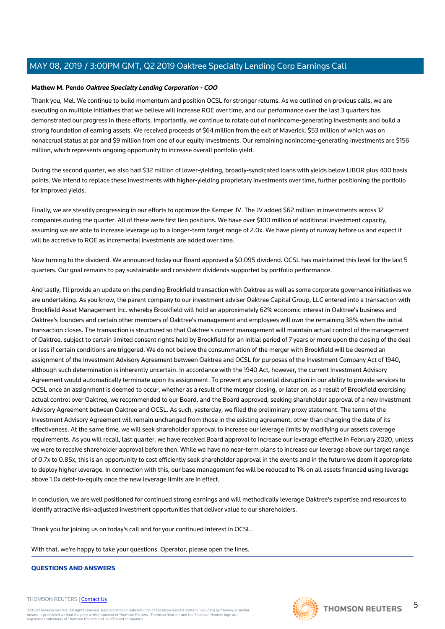## **Mathew M. Pendo Oaktree Specialty Lending Corporation - COO**

Thank you, Mel. We continue to build momentum and position OCSL for stronger returns. As we outlined on previous calls, we are executing on multiple initiatives that we believe will increase ROE over time, and our performance over the last 3 quarters has demonstrated our progress in these efforts. Importantly, we continue to rotate out of nonincome-generating investments and build a strong foundation of earning assets. We received proceeds of \$64 million from the exit of Maverick, \$53 million of which was on nonaccrual status at par and \$9 million from one of our equity investments. Our remaining nonincome-generating investments are \$156 million, which represents ongoing opportunity to increase overall portfolio yield.

During the second quarter, we also had \$32 million of lower-yielding, broadly-syndicated loans with yields below LIBOR plus 400 basis points. We intend to replace these investments with higher-yielding proprietary investments over time, further positioning the portfolio for improved yields.

Finally, we are steadily progressing in our efforts to optimize the Kemper JV. The JV added \$62 million in investments across 12 companies during the quarter. All of these were first lien positions. We have over \$100 million of additional investment capacity, assuming we are able to increase leverage up to a longer-term target range of 2.0x. We have plenty of runway before us and expect it will be accretive to ROE as incremental investments are added over time.

Now turning to the dividend. We announced today our Board approved a \$0.095 dividend. OCSL has maintained this level for the last 5 quarters. Our goal remains to pay sustainable and consistent dividends supported by portfolio performance.

And lastly, I'll provide an update on the pending Brookfield transaction with Oaktree as well as some corporate governance initiatives we are undertaking. As you know, the parent company to our investment adviser Oaktree Capital Group, LLC entered into a transaction with Brookfield Asset Management Inc. whereby Brookfield will hold an approximately 62% economic interest in Oaktree's business and Oaktree's founders and certain other members of Oaktree's management and employees will own the remaining 38% when the initial transaction closes. The transaction is structured so that Oaktree's current management will maintain actual control of the management of Oaktree, subject to certain limited consent rights held by Brookfield for an initial period of 7 years or more upon the closing of the deal or less if certain conditions are triggered. We do not believe the consummation of the merger with Brookfield will be deemed an assignment of the Investment Advisory Agreement between Oaktree and OCSL for purposes of the Investment Company Act of 1940, although such determination is inherently uncertain. In accordance with the 1940 Act, however, the current Investment Advisory Agreement would automatically terminate upon its assignment. To prevent any potential disruption in our ability to provide services to OCSL once an assignment is deemed to occur, whether as a result of the merger closing, or later on, as a result of Brookfield exercising actual control over Oaktree, we recommended to our Board, and the Board approved, seeking shareholder approval of a new Investment Advisory Agreement between Oaktree and OCSL. As such, yesterday, we filed the preliminary proxy statement. The terms of the Investment Advisory Agreement will remain unchanged from those in the existing agreement, other than changing the date of its effectiveness. At the same time, we will seek shareholder approval to increase our leverage limits by modifying our assets coverage requirements. As you will recall, last quarter, we have received Board approval to increase our leverage effective in February 2020, unless we were to receive shareholder approval before then. While we have no near-term plans to increase our leverage above our target range of 0.7x to 0.85x, this is an opportunity to cost efficiently seek shareholder approval in the events and in the future we deem it appropriate to deploy higher leverage. In connection with this, our base management fee will be reduced to 1% on all assets financed using leverage above 1.0x debt-to-equity once the new leverage limits are in effect.

In conclusion, we are well positioned for continued strong earnings and will methodically leverage Oaktree's expertise and resources to identify attractive risk-adjusted investment opportunities that deliver value to our shareholders.

Thank you for joining us on today's call and for your continued interest in OCSL.

With that, we're happy to take your questions. Operator, please open the lines.

## **QUESTIONS AND ANSWERS**

#### THOMSON REUTERS | [Contact Us](https://my.thomsonreuters.com/ContactUsNew)

©2019 Thomson Reuters. All rights reserved. Republication or redistribution of Thomson Reuters content, including by framing or similar<br>means, is prohibited without the prior written consent of Thomson Reuters. "Thomson Re



5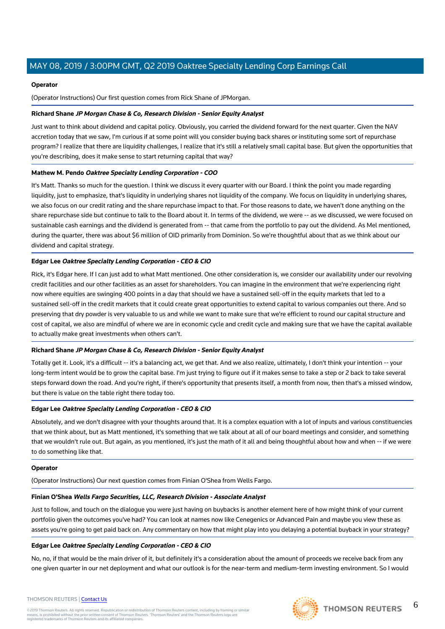## **Operator**

(Operator Instructions) Our first question comes from Rick Shane of JPMorgan.

## **Richard Shane JP Morgan Chase & Co, Research Division - Senior Equity Analyst**

Just want to think about dividend and capital policy. Obviously, you carried the dividend forward for the next quarter. Given the NAV accretion today that we saw, I'm curious if at some point will you consider buying back shares or instituting some sort of repurchase program? I realize that there are liquidity challenges, I realize that it's still a relatively small capital base. But given the opportunities that you're describing, does it make sense to start returning capital that way?

## **Mathew M. Pendo Oaktree Specialty Lending Corporation - COO**

It's Matt. Thanks so much for the question. I think we discuss it every quarter with our Board. I think the point you made regarding liquidity, just to emphasize, that's liquidity in underlying shares not liquidity of the company. We focus on liquidity in underlying shares, we also focus on our credit rating and the share repurchase impact to that. For those reasons to date, we haven't done anything on the share repurchase side but continue to talk to the Board about it. In terms of the dividend, we were -- as we discussed, we were focused on sustainable cash earnings and the dividend is generated from -- that came from the portfolio to pay out the dividend. As Mel mentioned, during the quarter, there was about \$6 million of OID primarily from Dominion. So we're thoughtful about that as we think about our dividend and capital strategy.

## **Edgar Lee Oaktree Specialty Lending Corporation - CEO & CIO**

Rick, it's Edgar here. If I can just add to what Matt mentioned. One other consideration is, we consider our availability under our revolving credit facilities and our other facilities as an asset for shareholders. You can imagine in the environment that we're experiencing right now where equities are swinging 400 points in a day that should we have a sustained sell-off in the equity markets that led to a sustained sell-off in the credit markets that it could create great opportunities to extend capital to various companies out there. And so preserving that dry powder is very valuable to us and while we want to make sure that we're efficient to round our capital structure and cost of capital, we also are mindful of where we are in economic cycle and credit cycle and making sure that we have the capital available to actually make great investments when others can't.

## **Richard Shane JP Morgan Chase & Co, Research Division - Senior Equity Analyst**

Totally get it. Look, it's a difficult -- it's a balancing act, we get that. And we also realize, ultimately, I don't think your intention -- your long-term intent would be to grow the capital base. I'm just trying to figure out if it makes sense to take a step or 2 back to take several steps forward down the road. And you're right, if there's opportunity that presents itself, a month from now, then that's a missed window, but there is value on the table right there today too.

## **Edgar Lee Oaktree Specialty Lending Corporation - CEO & CIO**

Absolutely, and we don't disagree with your thoughts around that. It is a complex equation with a lot of inputs and various constituencies that we think about, but as Matt mentioned, it's something that we talk about at all of our board meetings and consider, and something that we wouldn't rule out. But again, as you mentioned, it's just the math of it all and being thoughtful about how and when -- if we were to do something like that.

## **Operator**

(Operator Instructions) Our next question comes from Finian O'Shea from Wells Fargo.

## **Finian O'Shea Wells Fargo Securities, LLC, Research Division - Associate Analyst**

Just to follow, and touch on the dialogue you were just having on buybacks is another element here of how might think of your current portfolio given the outcomes you've had? You can look at names now like Cenegenics or Advanced Pain and maybe you view these as assets you're going to get paid back on. Any commentary on how that might play into you delaying a potential buyback in your strategy?

## **Edgar Lee Oaktree Specialty Lending Corporation - CEO & CIO**

No, no, if that would be the main driver of it, but definitely it's a consideration about the amount of proceeds we receive back from any one given quarter in our net deployment and what our outlook is for the near-term and medium-term investing environment. So I would

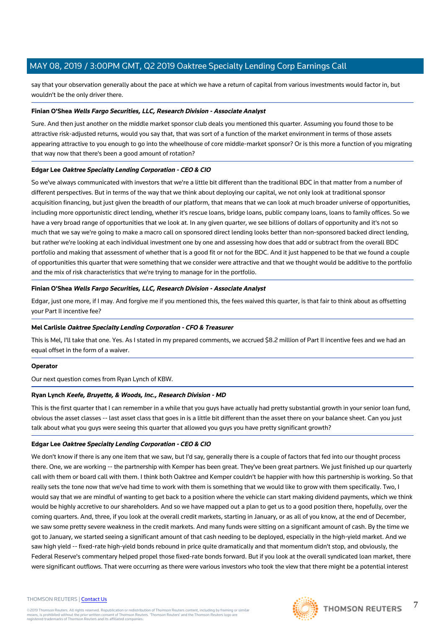say that your observation generally about the pace at which we have a return of capital from various investments would factor in, but wouldn't be the only driver there.

#### **Finian O'Shea Wells Fargo Securities, LLC, Research Division - Associate Analyst**

Sure. And then just another on the middle market sponsor club deals you mentioned this quarter. Assuming you found those to be attractive risk-adjusted returns, would you say that, that was sort of a function of the market environment in terms of those assets appearing attractive to you enough to go into the wheelhouse of core middle-market sponsor? Or is this more a function of you migrating that way now that there's been a good amount of rotation?

## **Edgar Lee Oaktree Specialty Lending Corporation - CEO & CIO**

So we've always communicated with investors that we're a little bit different than the traditional BDC in that matter from a number of different perspectives. But in terms of the way that we think about deploying our capital, we not only look at traditional sponsor acquisition financing, but just given the breadth of our platform, that means that we can look at much broader universe of opportunities, including more opportunistic direct lending, whether it's rescue loans, bridge loans, public company loans, loans to family offices. So we have a very broad range of opportunities that we look at. In any given quarter, we see billions of dollars of opportunity and it's not so much that we say we're going to make a macro call on sponsored direct lending looks better than non-sponsored backed direct lending, but rather we're looking at each individual investment one by one and assessing how does that add or subtract from the overall BDC portfolio and making that assessment of whether that is a good fit or not for the BDC. And it just happened to be that we found a couple of opportunities this quarter that were something that we consider were attractive and that we thought would be additive to the portfolio and the mix of risk characteristics that we're trying to manage for in the portfolio.

#### **Finian O'Shea Wells Fargo Securities, LLC, Research Division - Associate Analyst**

Edgar, just one more, if I may. And forgive me if you mentioned this, the fees waived this quarter, is that fair to think about as offsetting your Part II incentive fee?

#### **Mel Carlisle Oaktree Specialty Lending Corporation - CFO & Treasurer**

This is Mel, I'll take that one. Yes. As I stated in my prepared comments, we accrued \$8.2 million of Part II incentive fees and we had an equal offset in the form of a waiver.

#### **Operator**

Our next question comes from Ryan Lynch of KBW.

#### **Ryan Lynch Keefe, Bruyette, & Woods, Inc., Research Division - MD**

This is the first quarter that I can remember in a while that you guys have actually had pretty substantial growth in your senior loan fund, obvious the asset classes -- last asset class that goes in is a little bit different than the asset there on your balance sheet. Can you just talk about what you guys were seeing this quarter that allowed you guys you have pretty significant growth?

## **Edgar Lee Oaktree Specialty Lending Corporation - CEO & CIO**

We don't know if there is any one item that we saw, but I'd say, generally there is a couple of factors that fed into our thought process there. One, we are working -- the partnership with Kemper has been great. They've been great partners. We just finished up our quarterly call with them or board call with them. I think both Oaktree and Kemper couldn't be happier with how this partnership is working. So that really sets the tone now that we've had time to work with them is something that we would like to grow with them specifically. Two, I would say that we are mindful of wanting to get back to a position where the vehicle can start making dividend payments, which we think would be highly accretive to our shareholders. And so we have mapped out a plan to get us to a good position there, hopefully, over the coming quarters. And, three, if you look at the overall credit markets, starting in January, or as all of you know, at the end of December, we saw some pretty severe weakness in the credit markets. And many funds were sitting on a significant amount of cash. By the time we got to January, we started seeing a significant amount of that cash needing to be deployed, especially in the high-yield market. And we saw high yield -- fixed-rate high-yield bonds rebound in price quite dramatically and that momentum didn't stop, and obviously, the Federal Reserve's commentary helped propel those fixed-rate bonds forward. But if you look at the overall syndicated loan market, there were significant outflows. That were occurring as there were various investors who took the view that there might be a potential interest

#### THOMSON REUTERS | [Contact Us](https://my.thomsonreuters.com/ContactUsNew)



7